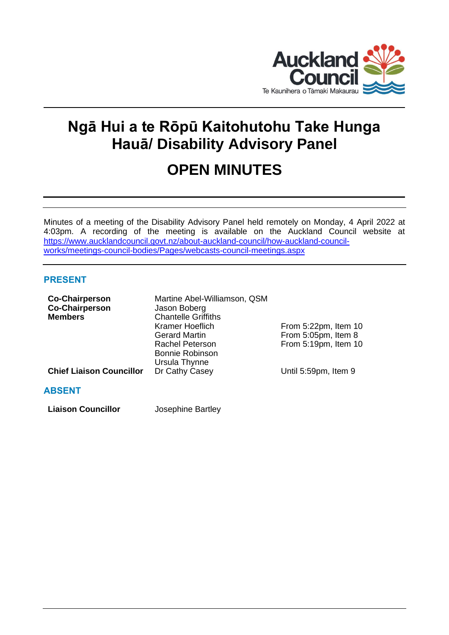

# **Ngā Hui a te Rōpū Kaitohutohu Take Hunga Hauā/ Disability Advisory Panel**

# **OPEN MINUTES**

Minutes of a meeting of the Disability Advisory Panel held remotely on Monday, 4 April 2022 at 4:03pm. A recording of the meeting is available on the Auckland Council website at [https://www.aucklandcouncil.govt.nz/about-auckland-council/how-auckland-council](https://www.aucklandcouncil.govt.nz/about-auckland-council/how-auckland-council-works/meetings-council-bodies/Pages/webcasts-council-meetings.aspx)[works/meetings-council-bodies/Pages/webcasts-council-meetings.aspx](https://www.aucklandcouncil.govt.nz/about-auckland-council/how-auckland-council-works/meetings-council-bodies/Pages/webcasts-council-meetings.aspx)

# **PRESENT**

| <b>Co-Chairperson</b><br><b>Co-Chairperson</b><br><b>Members</b> | Martine Abel-Williamson, QSM<br>Jason Boberg<br><b>Chantelle Griffiths</b> |                      |
|------------------------------------------------------------------|----------------------------------------------------------------------------|----------------------|
|                                                                  | <b>Kramer Hoeflich</b>                                                     | From 5:22pm, Item 10 |
|                                                                  | <b>Gerard Martin</b>                                                       | From 5:05pm, Item 8  |
|                                                                  | <b>Rachel Peterson</b>                                                     | From 5:19pm, Item 10 |
|                                                                  | <b>Bonnie Robinson</b>                                                     |                      |
|                                                                  | Ursula Thynne                                                              |                      |
| <b>Chief Liaison Councillor</b>                                  | Dr Cathy Casey                                                             | Until 5:59pm, Item 9 |
| <b>ABSENT</b>                                                    |                                                                            |                      |

**Liaison Councillor** Josephine Bartley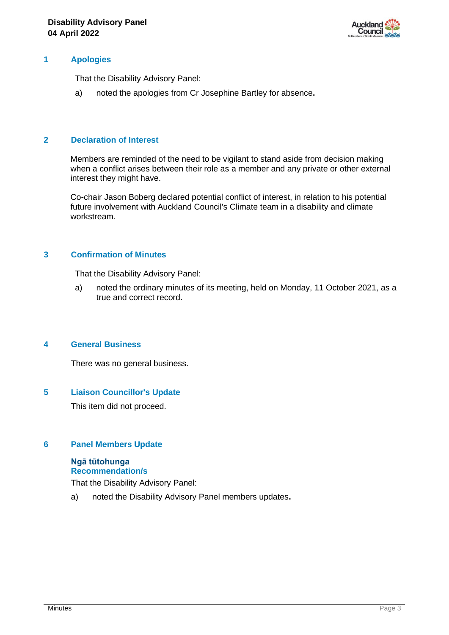

## **1 Apologies**

That the Disability Advisory Panel:

a) noted the apologies from Cr Josephine Bartley for absence**.**

#### **2 Declaration of Interest**

Members are reminded of the need to be vigilant to stand aside from decision making when a conflict arises between their role as a member and any private or other external interest they might have.

Co-chair Jason Boberg declared potential conflict of interest, in relation to his potential future involvement with Auckland Council's Climate team in a disability and climate workstream.

#### **3 Confirmation of Minutes**

That the Disability Advisory Panel:

a) noted the ordinary minutes of its meeting, held on Monday, 11 October 2021, as a true and correct record.

#### **4 General Business**

There was no general business.

## **5 Liaison Councillor's Update**

This item did not proceed.

## **6 Panel Members Update**

# **Ngā tūtohunga Recommendation/s**

That the Disability Advisory Panel:

a) noted the Disability Advisory Panel members updates**.**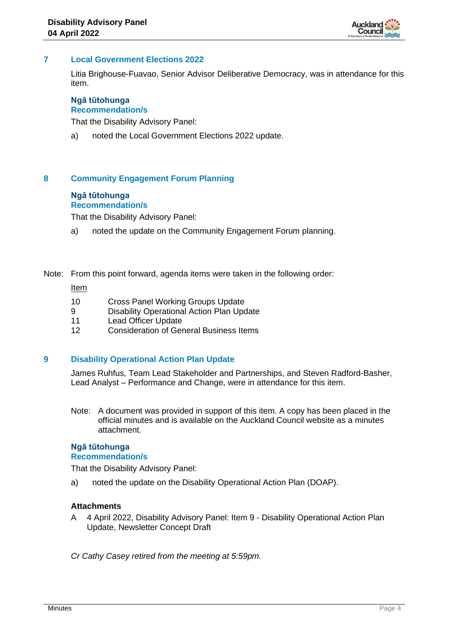

#### **7 Local Government Elections 2022**

Litia Brighouse-Fuavao, Senior Advisor Deliberative Democracy, was in attendance for this item.

#### **Ngā tūtohunga Recommendation/s**

That the Disability Advisory Panel:

a) noted the Local Government Elections 2022 update.

## **8 Community Engagement Forum Planning**

## **Ngā tūtohunga**

# **Recommendation/s**

That the Disability Advisory Panel:

- a) noted the update on the Community Engagement Forum planning.
- Note: From this point forward, agenda items were taken in the following order:

#### Item

- 10 Cross Panel Working Groups Update
- 9 Disability Operational Action Plan Update
- 11 Lead Officer Update
- 12 Consideration of General Business Items

#### **9 Disability Operational Action Plan Update**

James Ruhfus, Team Lead Stakeholder and Partnerships, and Steven Radford-Basher, Lead Analyst – Performance and Change, were in attendance for this item.

Note: A document was provided in support of this item. A copy has been placed in the official minutes and is available on the Auckland Council website as a minutes attachment.

#### **Ngā tūtohunga Recommendation/s**

That the Disability Advisory Panel:

a) noted the update on the Disability Operational Action Plan (DOAP).

#### **Attachments**

A 4 April 2022, Disability Advisory Panel: Item 9 - Disability Operational Action Plan Update, Newsletter Concept Draft

*Cr Cathy Casey retired from the meeting at 5:59pm.*